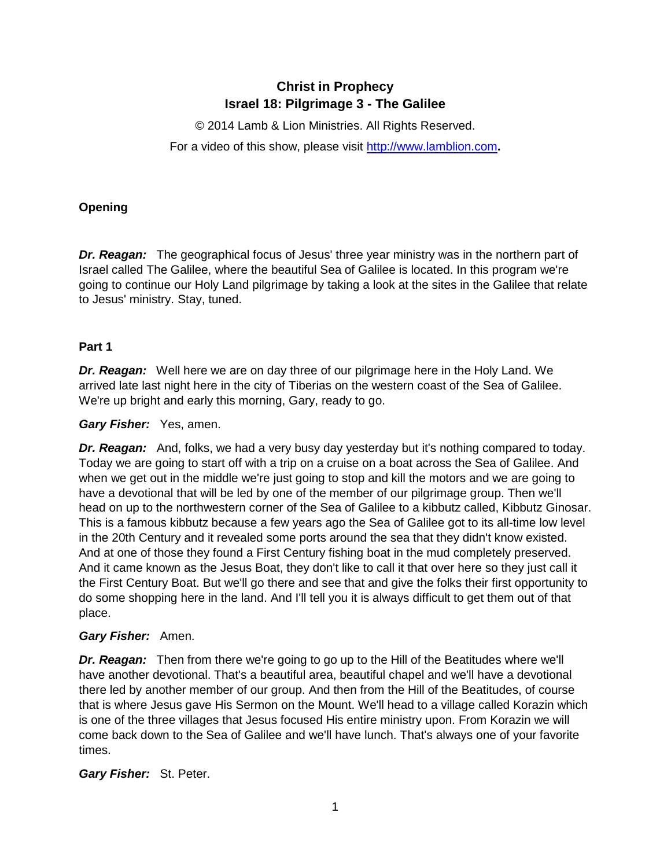# **Christ in Prophecy Israel 18: Pilgrimage 3 - The Galilee**

© 2014 Lamb & Lion Ministries. All Rights Reserved. For a video of this show, please visit [http://www.lamblion.com](http://www.lamblion.com/)**.**

## **Opening**

*Dr. Reagan:* The geographical focus of Jesus' three year ministry was in the northern part of Israel called The Galilee, where the beautiful Sea of Galilee is located. In this program we're going to continue our Holy Land pilgrimage by taking a look at the sites in the Galilee that relate to Jesus' ministry. Stay, tuned.

### **Part 1**

*Dr. Reagan:* Well here we are on day three of our pilgrimage here in the Holy Land. We arrived late last night here in the city of Tiberias on the western coast of the Sea of Galilee. We're up bright and early this morning, Gary, ready to go.

#### *Gary Fisher:* Yes, amen.

*Dr. Reagan:* And, folks, we had a very busy day yesterday but it's nothing compared to today. Today we are going to start off with a trip on a cruise on a boat across the Sea of Galilee. And when we get out in the middle we're just going to stop and kill the motors and we are going to have a devotional that will be led by one of the member of our pilgrimage group. Then we'll head on up to the northwestern corner of the Sea of Galilee to a kibbutz called, Kibbutz Ginosar. This is a famous kibbutz because a few years ago the Sea of Galilee got to its all-time low level in the 20th Century and it revealed some ports around the sea that they didn't know existed. And at one of those they found a First Century fishing boat in the mud completely preserved. And it came known as the Jesus Boat, they don't like to call it that over here so they just call it the First Century Boat. But we'll go there and see that and give the folks their first opportunity to do some shopping here in the land. And I'll tell you it is always difficult to get them out of that place.

#### *Gary Fisher:* Amen.

*Dr. Reagan:* Then from there we're going to go up to the Hill of the Beatitudes where we'll have another devotional. That's a beautiful area, beautiful chapel and we'll have a devotional there led by another member of our group. And then from the Hill of the Beatitudes, of course that is where Jesus gave His Sermon on the Mount. We'll head to a village called Korazin which is one of the three villages that Jesus focused His entire ministry upon. From Korazin we will come back down to the Sea of Galilee and we'll have lunch. That's always one of your favorite times.

#### *Gary Fisher:* St. Peter.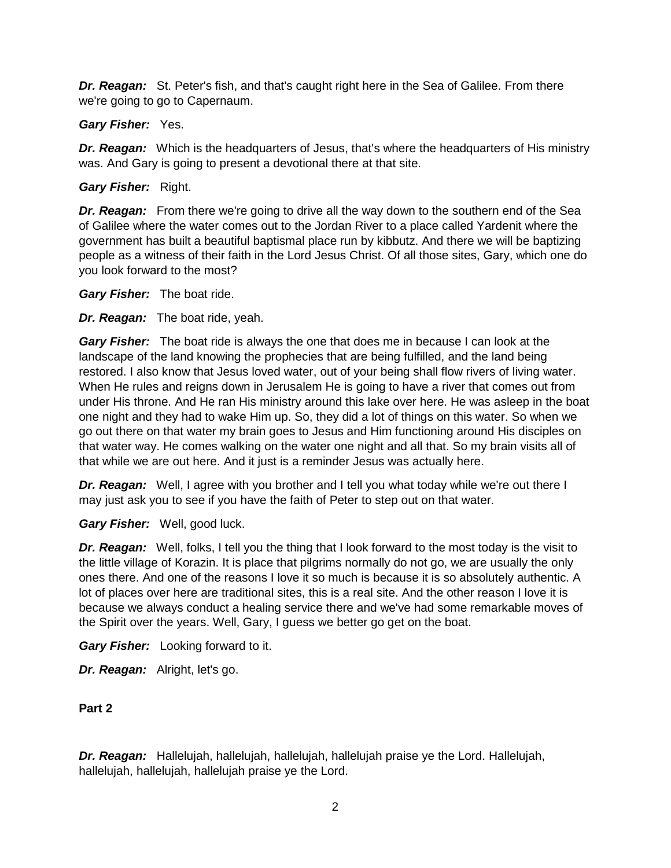*Dr. Reagan:* St. Peter's fish, and that's caught right here in the Sea of Galilee. From there we're going to go to Capernaum.

#### *Gary Fisher:* Yes.

*Dr. Reagan:* Which is the headquarters of Jesus, that's where the headquarters of His ministry was. And Gary is going to present a devotional there at that site.

### *Gary Fisher:* Right.

*Dr. Reagan:* From there we're going to drive all the way down to the southern end of the Sea of Galilee where the water comes out to the Jordan River to a place called Yardenit where the government has built a beautiful baptismal place run by kibbutz. And there we will be baptizing people as a witness of their faith in the Lord Jesus Christ. Of all those sites, Gary, which one do you look forward to the most?

*Gary Fisher:* The boat ride.

*Dr. Reagan:* The boat ride, yeah.

*Gary Fisher:* The boat ride is always the one that does me in because I can look at the landscape of the land knowing the prophecies that are being fulfilled, and the land being restored. I also know that Jesus loved water, out of your being shall flow rivers of living water. When He rules and reigns down in Jerusalem He is going to have a river that comes out from under His throne. And He ran His ministry around this lake over here. He was asleep in the boat one night and they had to wake Him up. So, they did a lot of things on this water. So when we go out there on that water my brain goes to Jesus and Him functioning around His disciples on that water way. He comes walking on the water one night and all that. So my brain visits all of that while we are out here. And it just is a reminder Jesus was actually here.

*Dr. Reagan:* Well, I agree with you brother and I tell you what today while we're out there I may just ask you to see if you have the faith of Peter to step out on that water.

*Gary Fisher:* Well, good luck.

*Dr. Reagan:* Well, folks, I tell you the thing that I look forward to the most today is the visit to the little village of Korazin. It is place that pilgrims normally do not go, we are usually the only ones there. And one of the reasons I love it so much is because it is so absolutely authentic. A lot of places over here are traditional sites, this is a real site. And the other reason I love it is because we always conduct a healing service there and we've had some remarkable moves of the Spirit over the years. Well, Gary, I guess we better go get on the boat.

*Gary Fisher:* Looking forward to it.

*Dr. Reagan:* Alright, let's go.

**Part 2**

*Dr. Reagan:* Hallelujah, hallelujah, hallelujah, hallelujah praise ye the Lord. Hallelujah, hallelujah, hallelujah, hallelujah praise ye the Lord.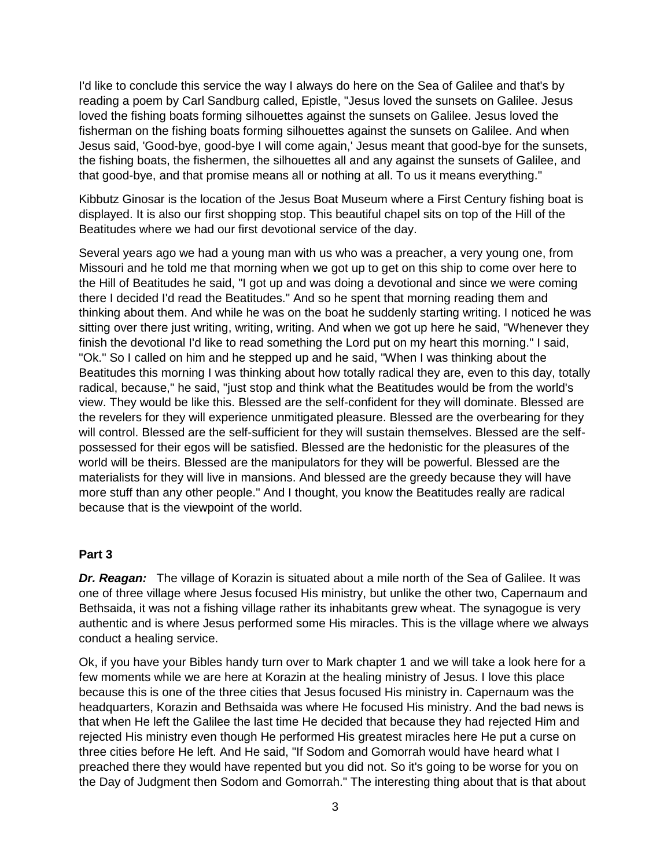I'd like to conclude this service the way I always do here on the Sea of Galilee and that's by reading a poem by Carl Sandburg called, Epistle, "Jesus loved the sunsets on Galilee. Jesus loved the fishing boats forming silhouettes against the sunsets on Galilee. Jesus loved the fisherman on the fishing boats forming silhouettes against the sunsets on Galilee. And when Jesus said, 'Good-bye, good-bye I will come again,' Jesus meant that good-bye for the sunsets, the fishing boats, the fishermen, the silhouettes all and any against the sunsets of Galilee, and that good-bye, and that promise means all or nothing at all. To us it means everything."

Kibbutz Ginosar is the location of the Jesus Boat Museum where a First Century fishing boat is displayed. It is also our first shopping stop. This beautiful chapel sits on top of the Hill of the Beatitudes where we had our first devotional service of the day.

Several years ago we had a young man with us who was a preacher, a very young one, from Missouri and he told me that morning when we got up to get on this ship to come over here to the Hill of Beatitudes he said, "I got up and was doing a devotional and since we were coming there I decided I'd read the Beatitudes." And so he spent that morning reading them and thinking about them. And while he was on the boat he suddenly starting writing. I noticed he was sitting over there just writing, writing, writing. And when we got up here he said, "Whenever they finish the devotional I'd like to read something the Lord put on my heart this morning." I said, "Ok." So I called on him and he stepped up and he said, "When I was thinking about the Beatitudes this morning I was thinking about how totally radical they are, even to this day, totally radical, because," he said, "just stop and think what the Beatitudes would be from the world's view. They would be like this. Blessed are the self-confident for they will dominate. Blessed are the revelers for they will experience unmitigated pleasure. Blessed are the overbearing for they will control. Blessed are the self-sufficient for they will sustain themselves. Blessed are the selfpossessed for their egos will be satisfied. Blessed are the hedonistic for the pleasures of the world will be theirs. Blessed are the manipulators for they will be powerful. Blessed are the materialists for they will live in mansions. And blessed are the greedy because they will have more stuff than any other people." And I thought, you know the Beatitudes really are radical because that is the viewpoint of the world.

#### **Part 3**

*Dr. Reagan:* The village of Korazin is situated about a mile north of the Sea of Galilee. It was one of three village where Jesus focused His ministry, but unlike the other two, Capernaum and Bethsaida, it was not a fishing village rather its inhabitants grew wheat. The synagogue is very authentic and is where Jesus performed some His miracles. This is the village where we always conduct a healing service.

Ok, if you have your Bibles handy turn over to Mark chapter 1 and we will take a look here for a few moments while we are here at Korazin at the healing ministry of Jesus. I love this place because this is one of the three cities that Jesus focused His ministry in. Capernaum was the headquarters, Korazin and Bethsaida was where He focused His ministry. And the bad news is that when He left the Galilee the last time He decided that because they had rejected Him and rejected His ministry even though He performed His greatest miracles here He put a curse on three cities before He left. And He said, "If Sodom and Gomorrah would have heard what I preached there they would have repented but you did not. So it's going to be worse for you on the Day of Judgment then Sodom and Gomorrah." The interesting thing about that is that about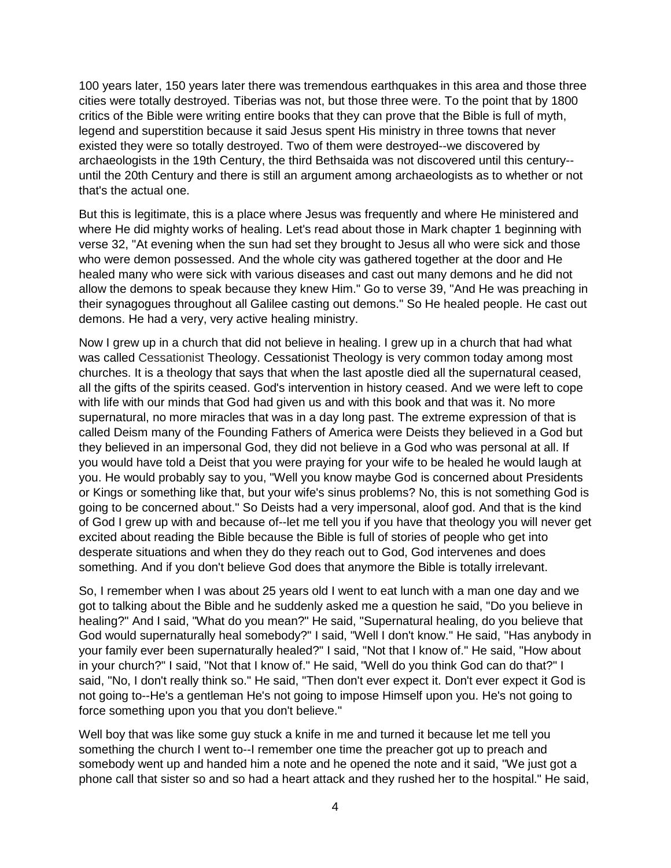100 years later, 150 years later there was tremendous earthquakes in this area and those three cities were totally destroyed. Tiberias was not, but those three were. To the point that by 1800 critics of the Bible were writing entire books that they can prove that the Bible is full of myth, legend and superstition because it said Jesus spent His ministry in three towns that never existed they were so totally destroyed. Two of them were destroyed--we discovered by archaeologists in the 19th Century, the third Bethsaida was not discovered until this century- until the 20th Century and there is still an argument among archaeologists as to whether or not that's the actual one.

But this is legitimate, this is a place where Jesus was frequently and where He ministered and where He did mighty works of healing. Let's read about those in Mark chapter 1 beginning with verse 32, "At evening when the sun had set they brought to Jesus all who were sick and those who were demon possessed. And the whole city was gathered together at the door and He healed many who were sick with various diseases and cast out many demons and he did not allow the demons to speak because they knew Him." Go to verse 39, "And He was preaching in their synagogues throughout all Galilee casting out demons." So He healed people. He cast out demons. He had a very, very active healing ministry.

Now I grew up in a church that did not believe in healing. I grew up in a church that had what was called Cessationist Theology. Cessationist Theology is very common today among most churches. It is a theology that says that when the last apostle died all the supernatural ceased, all the gifts of the spirits ceased. God's intervention in history ceased. And we were left to cope with life with our minds that God had given us and with this book and that was it. No more supernatural, no more miracles that was in a day long past. The extreme expression of that is called Deism many of the Founding Fathers of America were Deists they believed in a God but they believed in an impersonal God, they did not believe in a God who was personal at all. If you would have told a Deist that you were praying for your wife to be healed he would laugh at you. He would probably say to you, "Well you know maybe God is concerned about Presidents or Kings or something like that, but your wife's sinus problems? No, this is not something God is going to be concerned about." So Deists had a very impersonal, aloof god. And that is the kind of God I grew up with and because of--let me tell you if you have that theology you will never get excited about reading the Bible because the Bible is full of stories of people who get into desperate situations and when they do they reach out to God, God intervenes and does something. And if you don't believe God does that anymore the Bible is totally irrelevant.

So, I remember when I was about 25 years old I went to eat lunch with a man one day and we got to talking about the Bible and he suddenly asked me a question he said, "Do you believe in healing?" And I said, "What do you mean?" He said, "Supernatural healing, do you believe that God would supernaturally heal somebody?" I said, "Well I don't know." He said, "Has anybody in your family ever been supernaturally healed?" I said, "Not that I know of." He said, "How about in your church?" I said, "Not that I know of." He said, "Well do you think God can do that?" I said, "No, I don't really think so." He said, "Then don't ever expect it. Don't ever expect it God is not going to--He's a gentleman He's not going to impose Himself upon you. He's not going to force something upon you that you don't believe."

Well boy that was like some guy stuck a knife in me and turned it because let me tell you something the church I went to--I remember one time the preacher got up to preach and somebody went up and handed him a note and he opened the note and it said, "We just got a phone call that sister so and so had a heart attack and they rushed her to the hospital." He said,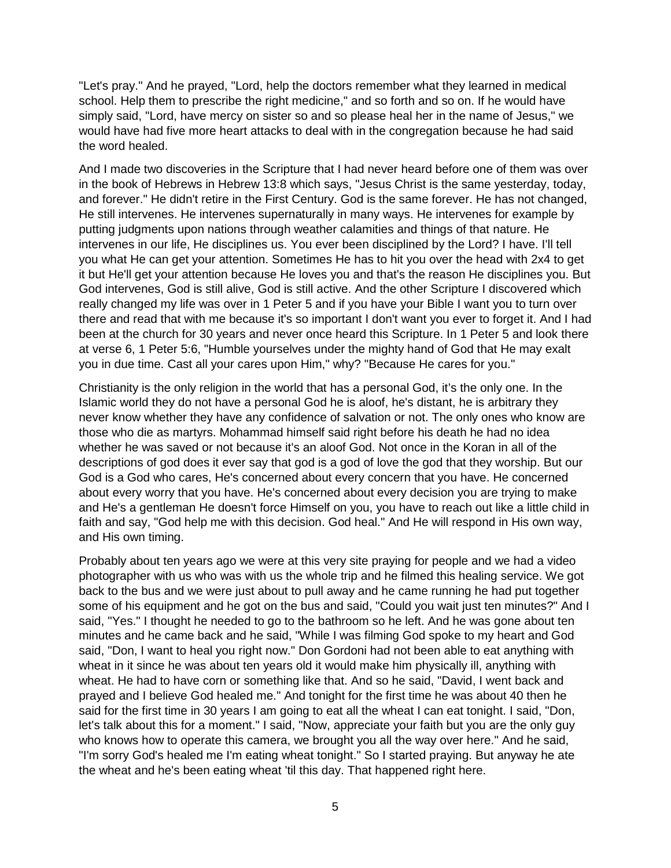"Let's pray." And he prayed, "Lord, help the doctors remember what they learned in medical school. Help them to prescribe the right medicine," and so forth and so on. If he would have simply said, "Lord, have mercy on sister so and so please heal her in the name of Jesus," we would have had five more heart attacks to deal with in the congregation because he had said the word healed.

And I made two discoveries in the Scripture that I had never heard before one of them was over in the book of Hebrews in Hebrew 13:8 which says, "Jesus Christ is the same yesterday, today, and forever." He didn't retire in the First Century. God is the same forever. He has not changed, He still intervenes. He intervenes supernaturally in many ways. He intervenes for example by putting judgments upon nations through weather calamities and things of that nature. He intervenes in our life, He disciplines us. You ever been disciplined by the Lord? I have. I'll tell you what He can get your attention. Sometimes He has to hit you over the head with 2x4 to get it but He'll get your attention because He loves you and that's the reason He disciplines you. But God intervenes, God is still alive, God is still active. And the other Scripture I discovered which really changed my life was over in 1 Peter 5 and if you have your Bible I want you to turn over there and read that with me because it's so important I don't want you ever to forget it. And I had been at the church for 30 years and never once heard this Scripture. In 1 Peter 5 and look there at verse 6, 1 Peter 5:6, "Humble yourselves under the mighty hand of God that He may exalt you in due time. Cast all your cares upon Him," why? "Because He cares for you."

Christianity is the only religion in the world that has a personal God, it's the only one. In the Islamic world they do not have a personal God he is aloof, he's distant, he is arbitrary they never know whether they have any confidence of salvation or not. The only ones who know are those who die as martyrs. Mohammad himself said right before his death he had no idea whether he was saved or not because it's an aloof God. Not once in the Koran in all of the descriptions of god does it ever say that god is a god of love the god that they worship. But our God is a God who cares, He's concerned about every concern that you have. He concerned about every worry that you have. He's concerned about every decision you are trying to make and He's a gentleman He doesn't force Himself on you, you have to reach out like a little child in faith and say, "God help me with this decision. God heal." And He will respond in His own way, and His own timing.

Probably about ten years ago we were at this very site praying for people and we had a video photographer with us who was with us the whole trip and he filmed this healing service. We got back to the bus and we were just about to pull away and he came running he had put together some of his equipment and he got on the bus and said, "Could you wait just ten minutes?" And I said, "Yes." I thought he needed to go to the bathroom so he left. And he was gone about ten minutes and he came back and he said, "While I was filming God spoke to my heart and God said, "Don, I want to heal you right now." Don Gordoni had not been able to eat anything with wheat in it since he was about ten years old it would make him physically ill, anything with wheat. He had to have corn or something like that. And so he said, "David, I went back and prayed and I believe God healed me." And tonight for the first time he was about 40 then he said for the first time in 30 years I am going to eat all the wheat I can eat tonight. I said, "Don, let's talk about this for a moment." I said, "Now, appreciate your faith but you are the only guy who knows how to operate this camera, we brought you all the way over here." And he said, "I'm sorry God's healed me I'm eating wheat tonight." So I started praying. But anyway he ate the wheat and he's been eating wheat 'til this day. That happened right here.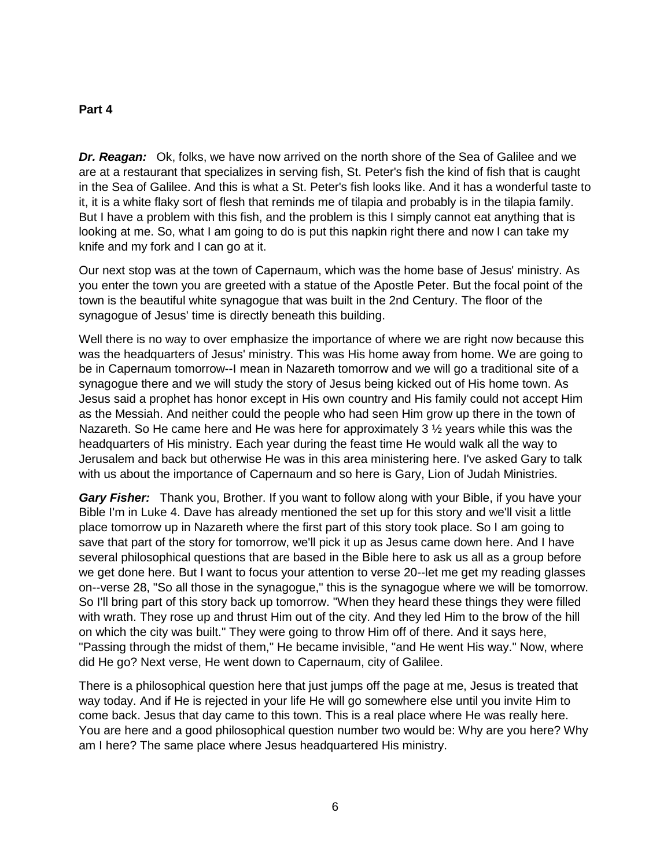#### **Part 4**

*Dr. Reagan:* Ok, folks, we have now arrived on the north shore of the Sea of Galilee and we are at a restaurant that specializes in serving fish, St. Peter's fish the kind of fish that is caught in the Sea of Galilee. And this is what a St. Peter's fish looks like. And it has a wonderful taste to it, it is a white flaky sort of flesh that reminds me of tilapia and probably is in the tilapia family. But I have a problem with this fish, and the problem is this I simply cannot eat anything that is looking at me. So, what I am going to do is put this napkin right there and now I can take my knife and my fork and I can go at it.

Our next stop was at the town of Capernaum, which was the home base of Jesus' ministry. As you enter the town you are greeted with a statue of the Apostle Peter. But the focal point of the town is the beautiful white synagogue that was built in the 2nd Century. The floor of the synagogue of Jesus' time is directly beneath this building.

Well there is no way to over emphasize the importance of where we are right now because this was the headquarters of Jesus' ministry. This was His home away from home. We are going to be in Capernaum tomorrow--I mean in Nazareth tomorrow and we will go a traditional site of a synagogue there and we will study the story of Jesus being kicked out of His home town. As Jesus said a prophet has honor except in His own country and His family could not accept Him as the Messiah. And neither could the people who had seen Him grow up there in the town of Nazareth. So He came here and He was here for approximately 3  $\frac{1}{2}$  years while this was the headquarters of His ministry. Each year during the feast time He would walk all the way to Jerusalem and back but otherwise He was in this area ministering here. I've asked Gary to talk with us about the importance of Capernaum and so here is Gary, Lion of Judah Ministries.

*Gary Fisher:* Thank you, Brother. If you want to follow along with your Bible, if you have your Bible I'm in Luke 4. Dave has already mentioned the set up for this story and we'll visit a little place tomorrow up in Nazareth where the first part of this story took place. So I am going to save that part of the story for tomorrow, we'll pick it up as Jesus came down here. And I have several philosophical questions that are based in the Bible here to ask us all as a group before we get done here. But I want to focus your attention to verse 20--let me get my reading glasses on--verse 28, "So all those in the synagogue," this is the synagogue where we will be tomorrow. So I'll bring part of this story back up tomorrow. "When they heard these things they were filled with wrath. They rose up and thrust Him out of the city. And they led Him to the brow of the hill on which the city was built." They were going to throw Him off of there. And it says here, "Passing through the midst of them," He became invisible, "and He went His way." Now, where did He go? Next verse, He went down to Capernaum, city of Galilee.

There is a philosophical question here that just jumps off the page at me, Jesus is treated that way today. And if He is rejected in your life He will go somewhere else until you invite Him to come back. Jesus that day came to this town. This is a real place where He was really here. You are here and a good philosophical question number two would be: Why are you here? Why am I here? The same place where Jesus headquartered His ministry.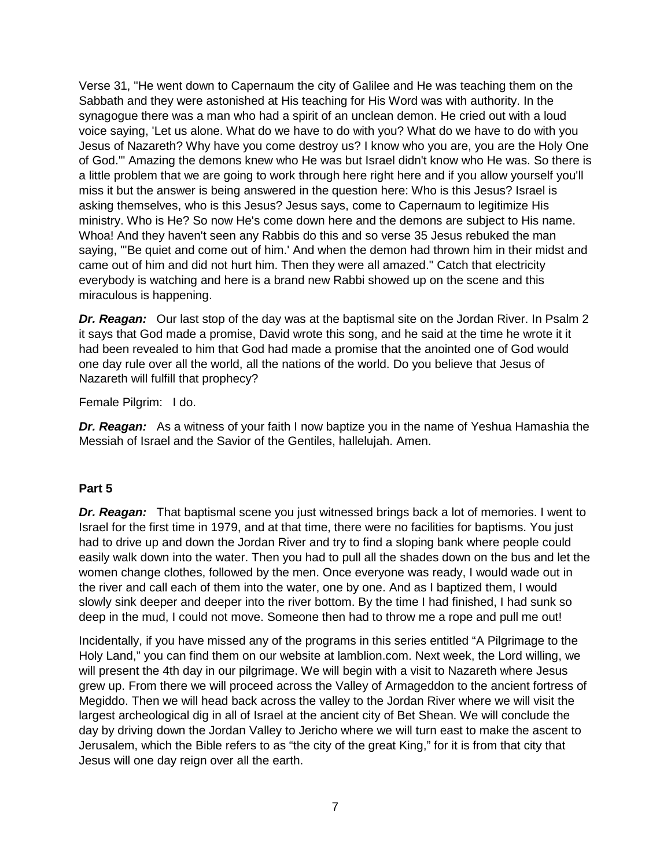Verse 31, "He went down to Capernaum the city of Galilee and He was teaching them on the Sabbath and they were astonished at His teaching for His Word was with authority. In the synagogue there was a man who had a spirit of an unclean demon. He cried out with a loud voice saying, 'Let us alone. What do we have to do with you? What do we have to do with you Jesus of Nazareth? Why have you come destroy us? I know who you are, you are the Holy One of God.'" Amazing the demons knew who He was but Israel didn't know who He was. So there is a little problem that we are going to work through here right here and if you allow yourself you'll miss it but the answer is being answered in the question here: Who is this Jesus? Israel is asking themselves, who is this Jesus? Jesus says, come to Capernaum to legitimize His ministry. Who is He? So now He's come down here and the demons are subject to His name. Whoa! And they haven't seen any Rabbis do this and so verse 35 Jesus rebuked the man saying, "'Be quiet and come out of him.' And when the demon had thrown him in their midst and came out of him and did not hurt him. Then they were all amazed." Catch that electricity everybody is watching and here is a brand new Rabbi showed up on the scene and this miraculous is happening.

*Dr. Reagan:* Our last stop of the day was at the baptismal site on the Jordan River. In Psalm 2 it says that God made a promise, David wrote this song, and he said at the time he wrote it it had been revealed to him that God had made a promise that the anointed one of God would one day rule over all the world, all the nations of the world. Do you believe that Jesus of Nazareth will fulfill that prophecy?

Female Pilgrim: I do.

**Dr. Reagan:** As a witness of your faith I now baptize you in the name of Yeshua Hamashia the Messiah of Israel and the Savior of the Gentiles, hallelujah. Amen.

#### **Part 5**

*Dr. Reagan:* That baptismal scene you just witnessed brings back a lot of memories. I went to Israel for the first time in 1979, and at that time, there were no facilities for baptisms. You just had to drive up and down the Jordan River and try to find a sloping bank where people could easily walk down into the water. Then you had to pull all the shades down on the bus and let the women change clothes, followed by the men. Once everyone was ready, I would wade out in the river and call each of them into the water, one by one. And as I baptized them, I would slowly sink deeper and deeper into the river bottom. By the time I had finished, I had sunk so deep in the mud, I could not move. Someone then had to throw me a rope and pull me out!

Incidentally, if you have missed any of the programs in this series entitled "A Pilgrimage to the Holy Land," you can find them on our website at lamblion.com. Next week, the Lord willing, we will present the 4th day in our pilgrimage. We will begin with a visit to Nazareth where Jesus grew up. From there we will proceed across the Valley of Armageddon to the ancient fortress of Megiddo. Then we will head back across the valley to the Jordan River where we will visit the largest archeological dig in all of Israel at the ancient city of Bet Shean. We will conclude the day by driving down the Jordan Valley to Jericho where we will turn east to make the ascent to Jerusalem, which the Bible refers to as "the city of the great King," for it is from that city that Jesus will one day reign over all the earth.